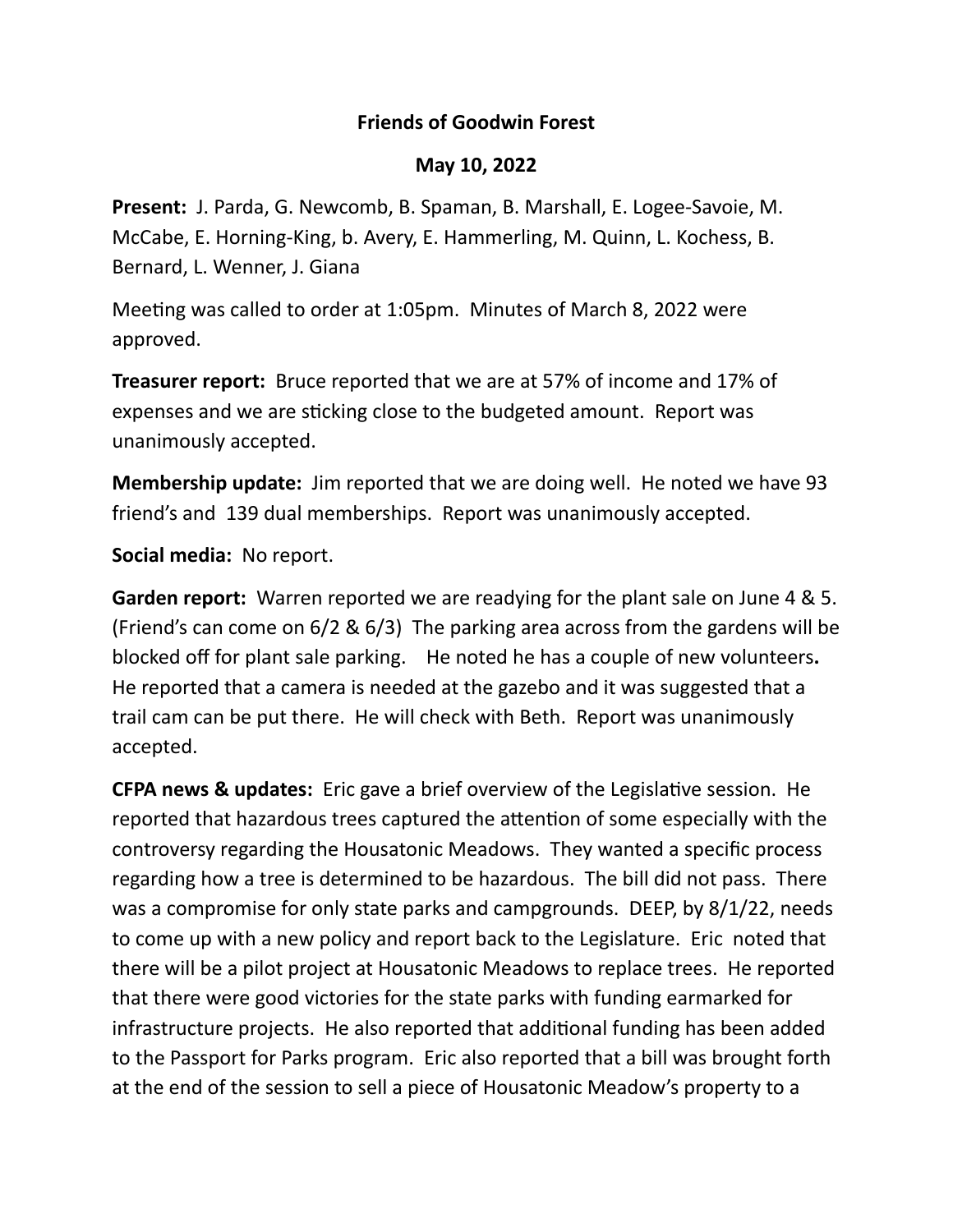## **Friends of Goodwin Forest**

## **May 10, 2022**

**Present:** J. Parda, G. Newcomb, B. Spaman, B. Marshall, E. Logee-Savoie, M. McCabe, E. Horning-King, b. Avery, E. Hammerling, M. Quinn, L. Kochess, B. Bernard, L. Wenner, J. Giana

Meeting was called to order at 1:05pm. Minutes of March 8, 2022 were approved.

**Treasurer report:** Bruce reported that we are at 57% of income and 17% of expenses and we are sticking close to the budgeted amount. Report was unanimously accepted.

**Membership update:** Jim reported that we are doing well. He noted we have 93 friend's and 139 dual memberships. Report was unanimously accepted.

**Social media:** No report.

**Garden report:** Warren reported we are readying for the plant sale on June 4 & 5. (Friend's can come on 6/2 & 6/3) The parking area across from the gardens will be blocked off for plant sale parking. He noted he has a couple of new volunteers**.**  He reported that a camera is needed at the gazebo and it was suggested that a trail cam can be put there. He will check with Beth. Report was unanimously accepted.

**CFPA news & updates:** Eric gave a brief overview of the Legislative session. He reported that hazardous trees captured the attention of some especially with the controversy regarding the Housatonic Meadows. They wanted a specific process regarding how a tree is determined to be hazardous. The bill did not pass. There was a compromise for only state parks and campgrounds. DEEP, by 8/1/22, needs to come up with a new policy and report back to the Legislature. Eric noted that there will be a pilot project at Housatonic Meadows to replace trees. He reported that there were good victories for the state parks with funding earmarked for infrastructure projects. He also reported that additional funding has been added to the Passport for Parks program. Eric also reported that a bill was brought forth at the end of the session to sell a piece of Housatonic Meadow's property to a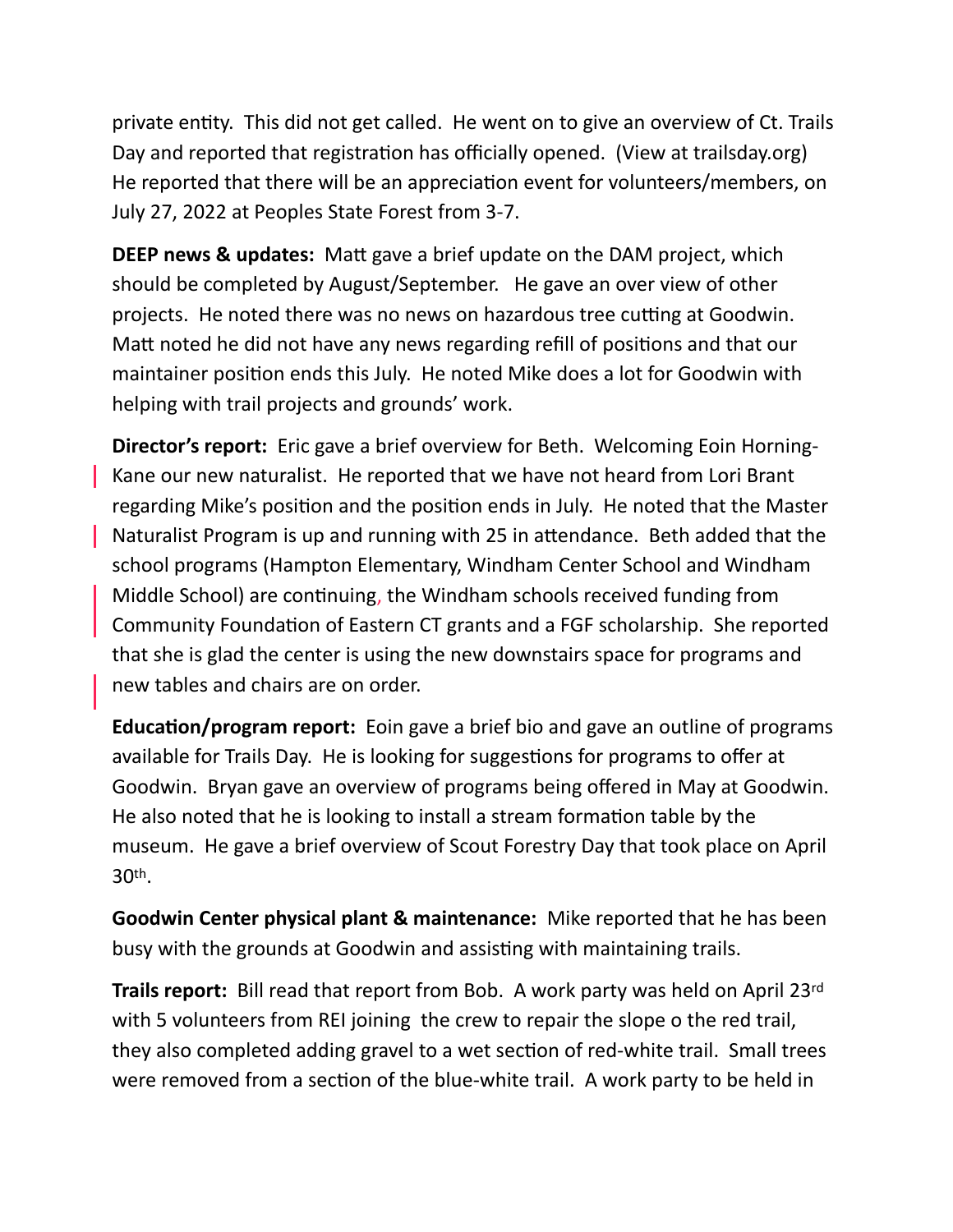private entity. This did not get called. He went on to give an overview of Ct. Trails Day and reported that registration has officially opened. (View at trailsday.org) He reported that there will be an appreciation event for volunteers/members, on July 27, 2022 at Peoples State Forest from 3-7.

**DEEP news & updates:** Matt gave a brief update on the DAM project, which should be completed by August/September. He gave an over view of other projects. He noted there was no news on hazardous tree cutting at Goodwin. Matt noted he did not have any news regarding refill of positions and that our maintainer position ends this July. He noted Mike does a lot for Goodwin with helping with trail projects and grounds' work.

**Director's report:** Eric gave a brief overview for Beth. Welcoming Eoin Horning-Kane our new naturalist. He reported that we have not heard from Lori Brant regarding Mike's position and the position ends in July. He noted that the Master Naturalist Program is up and running with 25 in attendance. Beth added that the school programs (Hampton Elementary, Windham Center School and Windham Middle School) are continuing, the Windham schools received funding from Community Foundation of Eastern CT grants and a FGF scholarship. She reported that she is glad the center is using the new downstairs space for programs and new tables and chairs are on order.

**Education/program report:** Eoin gave a brief bio and gave an outline of programs available for Trails Day. He is looking for suggestions for programs to offer at Goodwin. Bryan gave an overview of programs being offered in May at Goodwin. He also noted that he is looking to install a stream formation table by the museum. He gave a brief overview of Scout Forestry Day that took place on April 30th.

**Goodwin Center physical plant & maintenance:** Mike reported that he has been busy with the grounds at Goodwin and assisting with maintaining trails.

**Trails report:** Bill read that report from Bob. A work party was held on April 23rd with 5 volunteers from REI joining the crew to repair the slope o the red trail, they also completed adding gravel to a wet section of red-white trail. Small trees were removed from a section of the blue-white trail. A work party to be held in